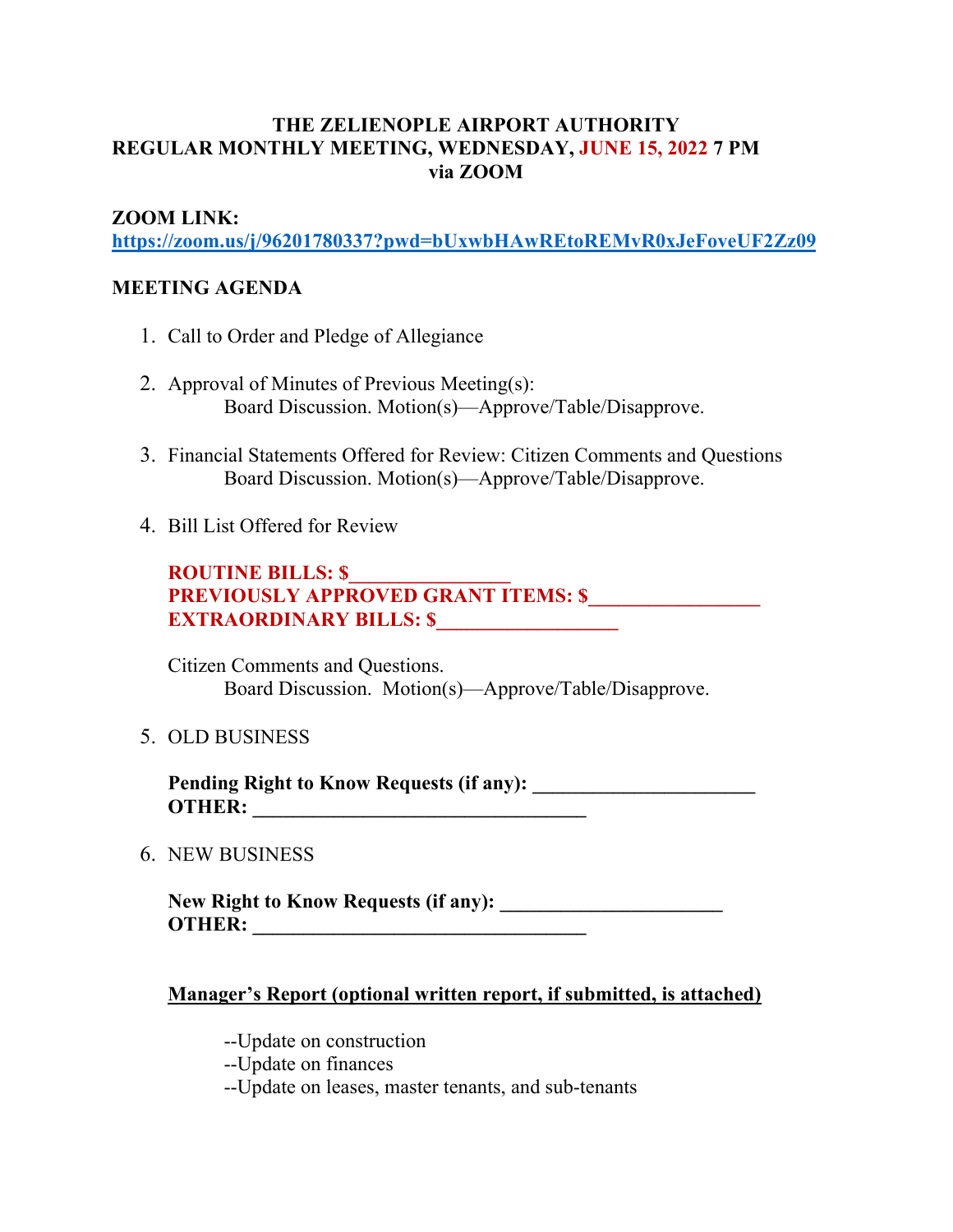### **THE ZELIENOPLE AIRPORT AUTHORITY REGULAR MONTHLY MEETING, WEDNESDAY, JUNE 15, 2022 7 PM via ZOOM**

#### **ZOOM LINK:**

**https://zoom.us/j/96201780337?pwd=bUxwbHAwREtoREMvR0xJeFoveUF2Zz09**

#### **MEETING AGENDA**

- 1. Call to Order and Pledge of Allegiance
- 2. Approval of Minutes of Previous Meeting(s): Board Discussion. Motion(s)—Approve/Table/Disapprove.
- 3. Financial Statements Offered for Review: Citizen Comments and Questions Board Discussion. Motion(s)—Approve/Table/Disapprove.
- 4. Bill List Offered for Review

**ROUTINE BILLS: \$\_\_\_\_\_\_\_\_\_\_\_\_\_\_\_\_** PREVIOUSLY APPROVED GRANT ITEMS: \$ **EXTRAORDINARY BILLS: \$** 

Citizen Comments and Questions. Board Discussion. Motion(s)—Approve/Table/Disapprove.

5. OLD BUSINESS

**Pending Right to Know Requests (if any): \_\_\_\_\_\_\_\_\_\_\_\_\_\_\_\_\_\_\_\_\_\_ OTHER: \_\_\_\_\_\_\_\_\_\_\_\_\_\_\_\_\_\_\_\_\_\_\_\_\_\_\_\_\_\_\_\_\_**

6. NEW BUSINESS

**New Right to Know Requests (if any): \_\_\_\_\_\_\_\_\_\_\_\_\_\_\_\_\_\_\_\_\_\_ OTHER: \_\_\_\_\_\_\_\_\_\_\_\_\_\_\_\_\_\_\_\_\_\_\_\_\_\_\_\_\_\_\_\_\_**

#### **Manager's Report (optional written report, if submitted, is attached)**

- --Update on construction
- --Update on finances
- --Update on leases, master tenants, and sub-tenants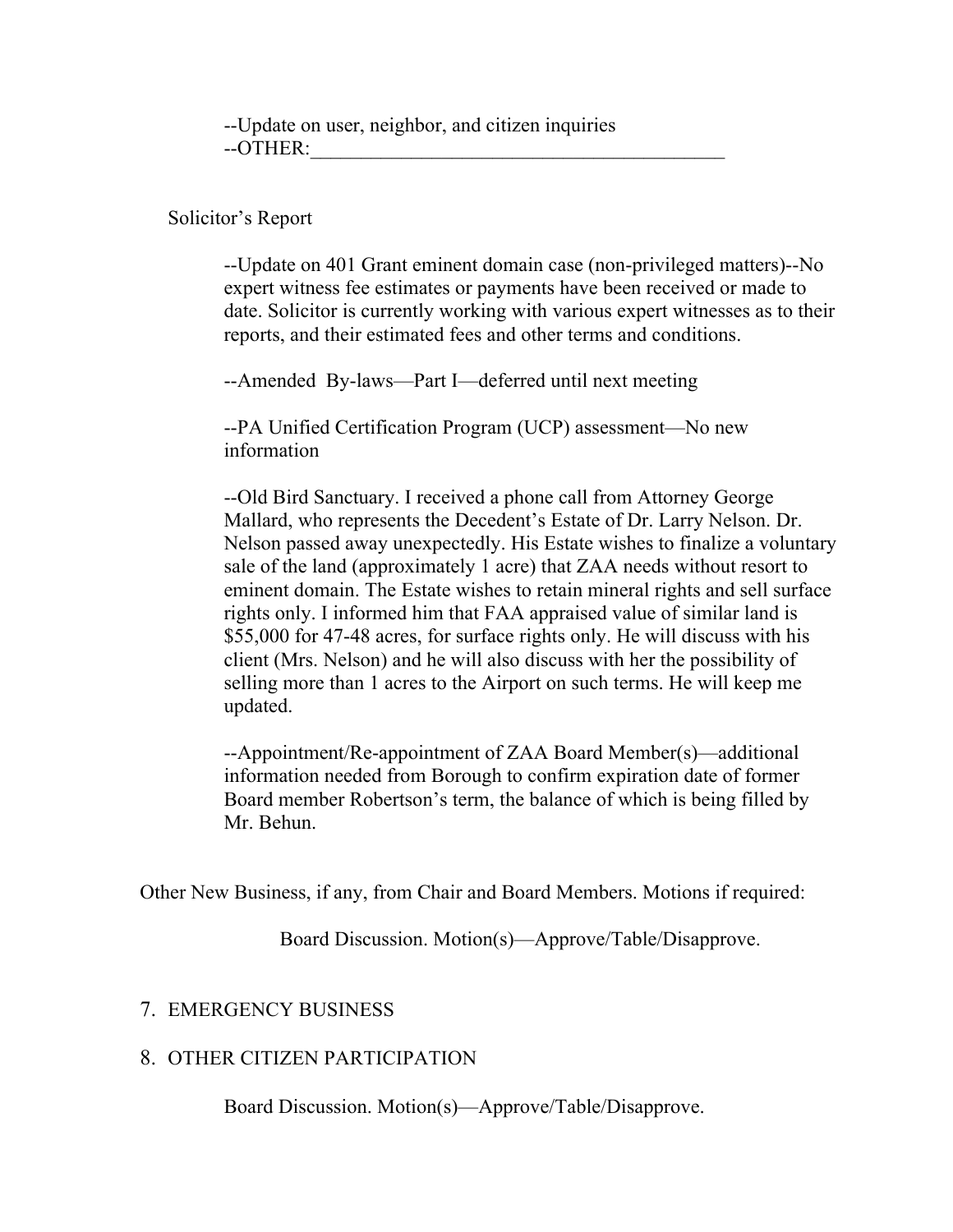--Update on user, neighbor, and citizen inquiries  $-$ OTHER:

Solicitor's Report

--Update on 401 Grant eminent domain case (non-privileged matters)--No expert witness fee estimates or payments have been received or made to date. Solicitor is currently working with various expert witnesses as to their reports, and their estimated fees and other terms and conditions.

--Amended By-laws—Part I—deferred until next meeting

--PA Unified Certification Program (UCP) assessment—No new information

--Old Bird Sanctuary. I received a phone call from Attorney George Mallard, who represents the Decedent's Estate of Dr. Larry Nelson. Dr. Nelson passed away unexpectedly. His Estate wishes to finalize a voluntary sale of the land (approximately 1 acre) that ZAA needs without resort to eminent domain. The Estate wishes to retain mineral rights and sell surface rights only. I informed him that FAA appraised value of similar land is \$55,000 for 47-48 acres, for surface rights only. He will discuss with his client (Mrs. Nelson) and he will also discuss with her the possibility of selling more than 1 acres to the Airport on such terms. He will keep me updated.

--Appointment/Re-appointment of ZAA Board Member(s)—additional information needed from Borough to confirm expiration date of former Board member Robertson's term, the balance of which is being filled by Mr. Behun.

Other New Business, if any, from Chair and Board Members. Motions if required:

Board Discussion. Motion(s)—Approve/Table/Disapprove.

#### 7. EMERGENCY BUSINESS

#### 8. OTHER CITIZEN PARTICIPATION

Board Discussion. Motion(s)—Approve/Table/Disapprove.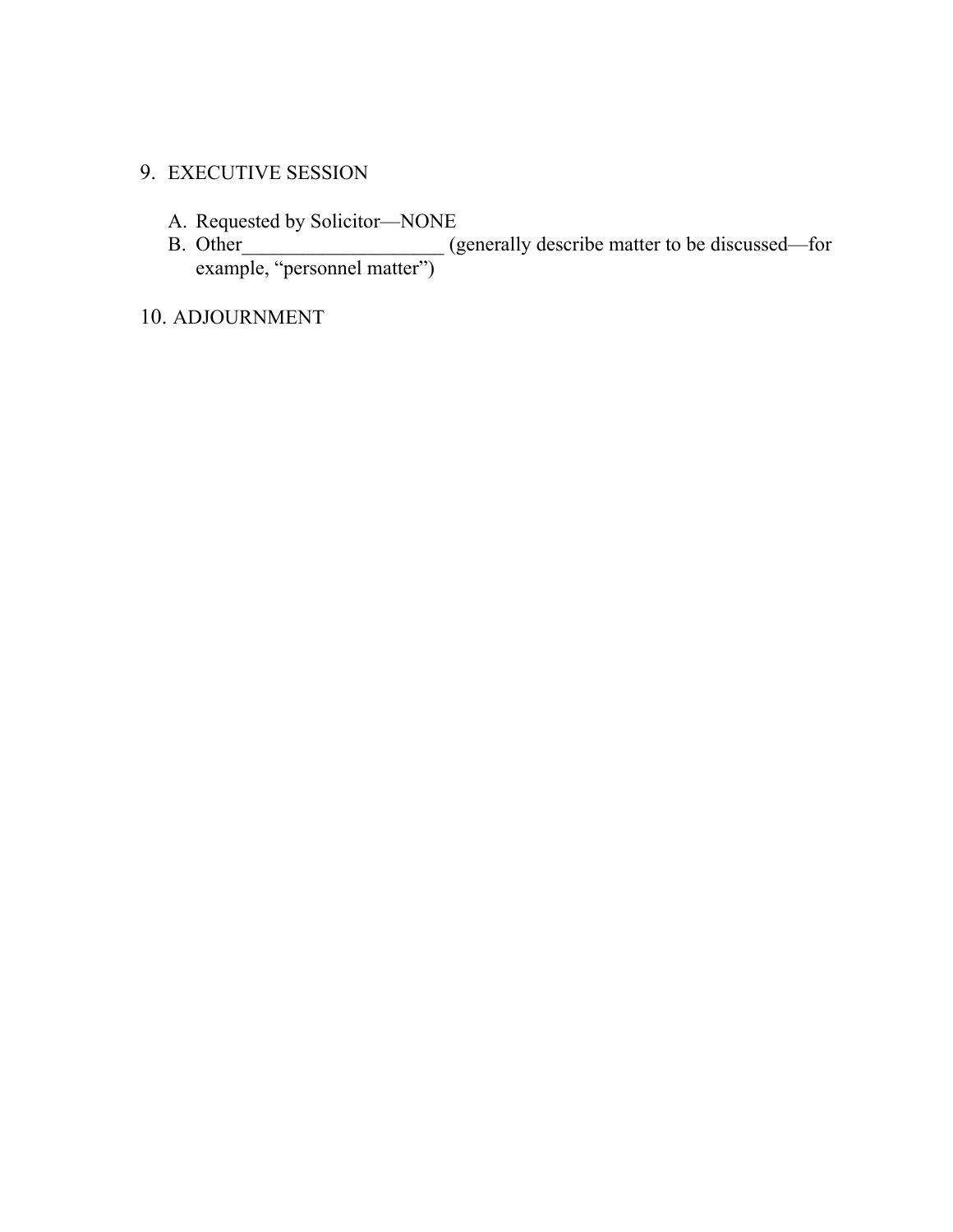## 9. EXECUTIVE SESSION

- A. Requested by Solicitor—NONE
- B. Other\_\_\_\_\_\_\_\_\_\_\_\_\_\_\_\_\_\_\_\_\_ (generally describe matter to be discussed—for example, "personnel matter")

10. ADJOURNMENT